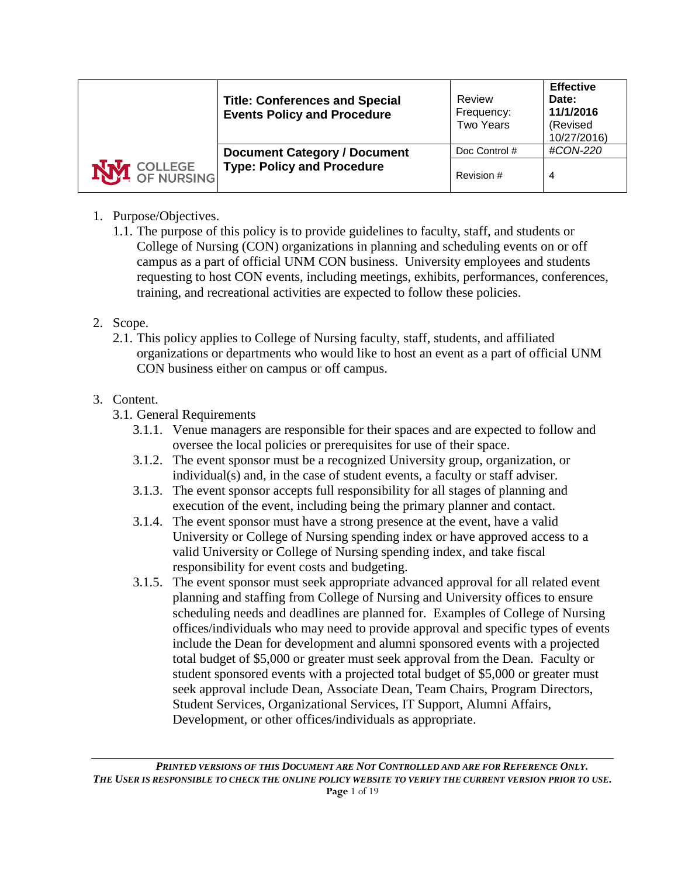|                       | <b>Title: Conferences and Special</b><br><b>Events Policy and Procedure</b> | Review<br>Frequency:<br><b>Two Years</b> | <b>Effective</b><br>Date:<br>11/1/2016<br>(Revised<br>10/27/2016) |
|-----------------------|-----------------------------------------------------------------------------|------------------------------------------|-------------------------------------------------------------------|
|                       | <b>Document Category / Document</b>                                         | Doc Control #                            | #CON-220                                                          |
| <b>M</b> COLLEGE SING | <b>Type: Policy and Procedure</b>                                           | Revision #                               | 4                                                                 |

# 1. Purpose/Objectives.

1.1. The purpose of this policy is to provide guidelines to faculty, staff, and students or College of Nursing (CON) organizations in planning and scheduling events on or off campus as a part of official UNM CON business. University employees and students requesting to host CON events, including meetings, exhibits, performances, conferences, training, and recreational activities are expected to follow these policies.

## 2. Scope.

2.1. This policy applies to College of Nursing faculty, staff, students, and affiliated organizations or departments who would like to host an event as a part of official UNM CON business either on campus or off campus.

# 3. Content.

- 3.1. General Requirements
	- 3.1.1. Venue managers are responsible for their spaces and are expected to follow and oversee the local policies or prerequisites for use of their space.
	- 3.1.2. The event sponsor must be a recognized University group, organization, or individual(s) and, in the case of student events, a faculty or staff adviser.
	- 3.1.3. The event sponsor accepts full responsibility for all stages of planning and execution of the event, including being the primary planner and contact.
	- 3.1.4. The event sponsor must have a strong presence at the event, have a valid University or College of Nursing spending index or have approved access to a valid University or College of Nursing spending index, and take fiscal responsibility for event costs and budgeting.
	- 3.1.5. The event sponsor must seek appropriate advanced approval for all related event planning and staffing from College of Nursing and University offices to ensure scheduling needs and deadlines are planned for. Examples of College of Nursing offices/individuals who may need to provide approval and specific types of events include the Dean for development and alumni sponsored events with a projected total budget of \$5,000 or greater must seek approval from the Dean. Faculty or student sponsored events with a projected total budget of \$5,000 or greater must seek approval include Dean, Associate Dean, Team Chairs, Program Directors, Student Services, Organizational Services, IT Support, Alumni Affairs, Development, or other offices/individuals as appropriate.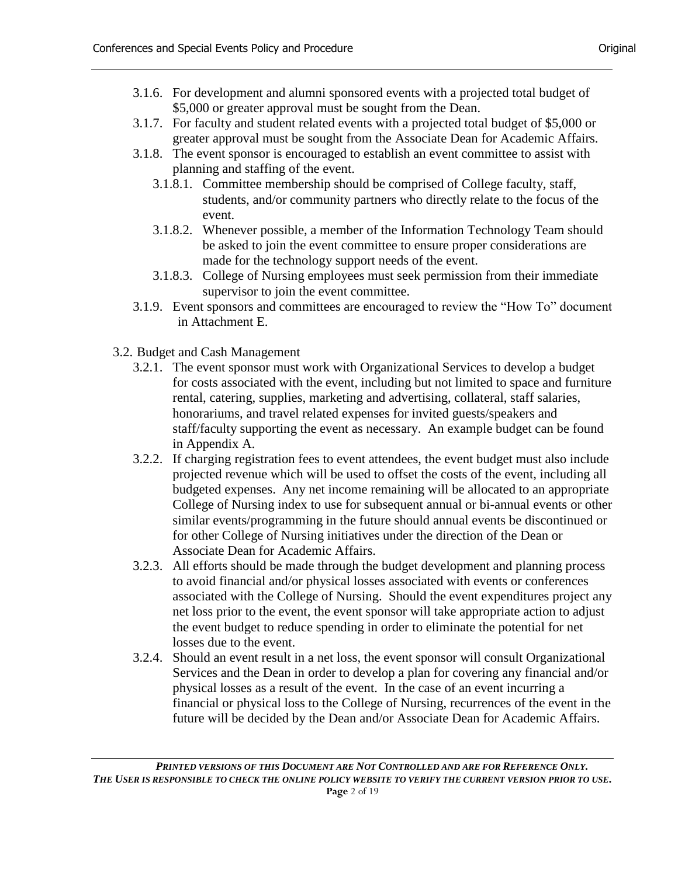- 3.1.6. For development and alumni sponsored events with a projected total budget of \$5,000 or greater approval must be sought from the Dean.
- 3.1.7. For faculty and student related events with a projected total budget of \$5,000 or greater approval must be sought from the Associate Dean for Academic Affairs.
- 3.1.8. The event sponsor is encouraged to establish an event committee to assist with planning and staffing of the event.
	- 3.1.8.1. Committee membership should be comprised of College faculty, staff, students, and/or community partners who directly relate to the focus of the event.
	- 3.1.8.2. Whenever possible, a member of the Information Technology Team should be asked to join the event committee to ensure proper considerations are made for the technology support needs of the event.
	- 3.1.8.3. College of Nursing employees must seek permission from their immediate supervisor to join the event committee.
- 3.1.9. Event sponsors and committees are encouraged to review the "How To" document in Attachment E.
- 3.2. Budget and Cash Management
	- 3.2.1. The event sponsor must work with Organizational Services to develop a budget for costs associated with the event, including but not limited to space and furniture rental, catering, supplies, marketing and advertising, collateral, staff salaries, honorariums, and travel related expenses for invited guests/speakers and staff/faculty supporting the event as necessary. An example budget can be found in Appendix A.
	- 3.2.2. If charging registration fees to event attendees, the event budget must also include projected revenue which will be used to offset the costs of the event, including all budgeted expenses. Any net income remaining will be allocated to an appropriate College of Nursing index to use for subsequent annual or bi-annual events or other similar events/programming in the future should annual events be discontinued or for other College of Nursing initiatives under the direction of the Dean or Associate Dean for Academic Affairs.
	- 3.2.3. All efforts should be made through the budget development and planning process to avoid financial and/or physical losses associated with events or conferences associated with the College of Nursing. Should the event expenditures project any net loss prior to the event, the event sponsor will take appropriate action to adjust the event budget to reduce spending in order to eliminate the potential for net losses due to the event.
	- 3.2.4. Should an event result in a net loss, the event sponsor will consult Organizational Services and the Dean in order to develop a plan for covering any financial and/or physical losses as a result of the event. In the case of an event incurring a financial or physical loss to the College of Nursing, recurrences of the event in the future will be decided by the Dean and/or Associate Dean for Academic Affairs.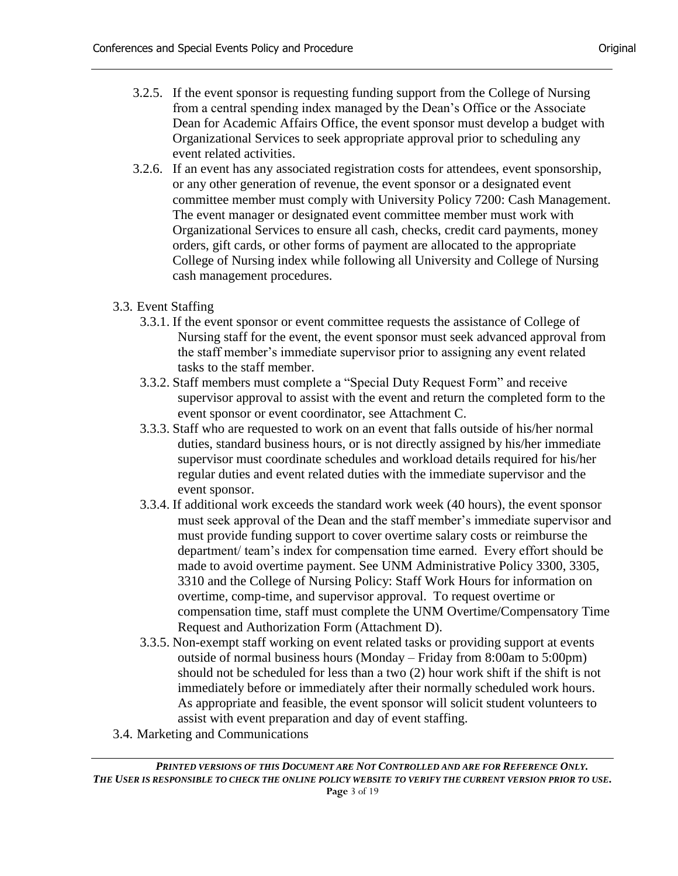- 3.2.5. If the event sponsor is requesting funding support from the College of Nursing from a central spending index managed by the Dean's Office or the Associate Dean for Academic Affairs Office, the event sponsor must develop a budget with Organizational Services to seek appropriate approval prior to scheduling any event related activities.
- 3.2.6. If an event has any associated registration costs for attendees, event sponsorship, or any other generation of revenue, the event sponsor or a designated event committee member must comply with University Policy 7200: Cash Management. The event manager or designated event committee member must work with Organizational Services to ensure all cash, checks, credit card payments, money orders, gift cards, or other forms of payment are allocated to the appropriate College of Nursing index while following all University and College of Nursing cash management procedures.
- 3.3. Event Staffing
	- 3.3.1. If the event sponsor or event committee requests the assistance of College of Nursing staff for the event, the event sponsor must seek advanced approval from the staff member's immediate supervisor prior to assigning any event related tasks to the staff member.
	- 3.3.2. Staff members must complete a "Special Duty Request Form" and receive supervisor approval to assist with the event and return the completed form to the event sponsor or event coordinator, see Attachment C.
	- 3.3.3. Staff who are requested to work on an event that falls outside of his/her normal duties, standard business hours, or is not directly assigned by his/her immediate supervisor must coordinate schedules and workload details required for his/her regular duties and event related duties with the immediate supervisor and the event sponsor.
	- 3.3.4. If additional work exceeds the standard work week (40 hours), the event sponsor must seek approval of the Dean and the staff member's immediate supervisor and must provide funding support to cover overtime salary costs or reimburse the department/ team's index for compensation time earned. Every effort should be made to avoid overtime payment. See UNM Administrative Policy 3300, 3305, 3310 and the College of Nursing Policy: Staff Work Hours for information on overtime, comp-time, and supervisor approval. To request overtime or compensation time, staff must complete the UNM Overtime/Compensatory Time Request and Authorization Form (Attachment D).
	- 3.3.5. Non-exempt staff working on event related tasks or providing support at events outside of normal business hours (Monday – Friday from 8:00am to 5:00pm) should not be scheduled for less than a two (2) hour work shift if the shift is not immediately before or immediately after their normally scheduled work hours. As appropriate and feasible, the event sponsor will solicit student volunteers to assist with event preparation and day of event staffing.
- 3.4. Marketing and Communications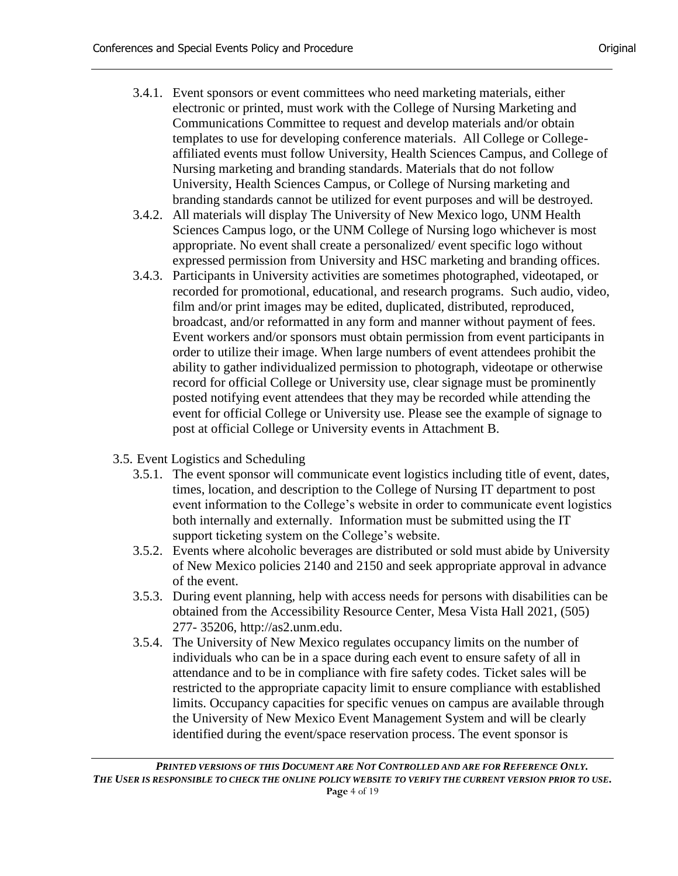- 3.4.1. Event sponsors or event committees who need marketing materials, either electronic or printed, must work with the College of Nursing Marketing and Communications Committee to request and develop materials and/or obtain templates to use for developing conference materials. All College or Collegeaffiliated events must follow University, Health Sciences Campus, and College of Nursing marketing and branding standards. Materials that do not follow University, Health Sciences Campus, or College of Nursing marketing and branding standards cannot be utilized for event purposes and will be destroyed.
- 3.4.2. All materials will display The University of New Mexico logo, UNM Health Sciences Campus logo, or the UNM College of Nursing logo whichever is most appropriate. No event shall create a personalized/ event specific logo without expressed permission from University and HSC marketing and branding offices.
- 3.4.3. Participants in University activities are sometimes photographed, videotaped, or recorded for promotional, educational, and research programs. Such audio, video, film and/or print images may be edited, duplicated, distributed, reproduced, broadcast, and/or reformatted in any form and manner without payment of fees. Event workers and/or sponsors must obtain permission from event participants in order to utilize their image. When large numbers of event attendees prohibit the ability to gather individualized permission to photograph, videotape or otherwise record for official College or University use, clear signage must be prominently posted notifying event attendees that they may be recorded while attending the event for official College or University use. Please see the example of signage to post at official College or University events in Attachment B.
- 3.5. Event Logistics and Scheduling
	- 3.5.1. The event sponsor will communicate event logistics including title of event, dates, times, location, and description to the College of Nursing IT department to post event information to the College's website in order to communicate event logistics both internally and externally. Information must be submitted using the IT support ticketing system on the College's website.
	- 3.5.2. Events where alcoholic beverages are distributed or sold must abide by University of New Mexico policies 2140 and 2150 and seek appropriate approval in advance of the event.
	- 3.5.3. During event planning, help with access needs for persons with disabilities can be obtained from the Accessibility Resource Center, Mesa Vista Hall 2021, (505) 277- 35206, http://as2.unm.edu.
	- 3.5.4. The University of New Mexico regulates occupancy limits on the number of individuals who can be in a space during each event to ensure safety of all in attendance and to be in compliance with fire safety codes. Ticket sales will be restricted to the appropriate capacity limit to ensure compliance with established limits. Occupancy capacities for specific venues on campus are available through the University of New Mexico Event Management System and will be clearly identified during the event/space reservation process. The event sponsor is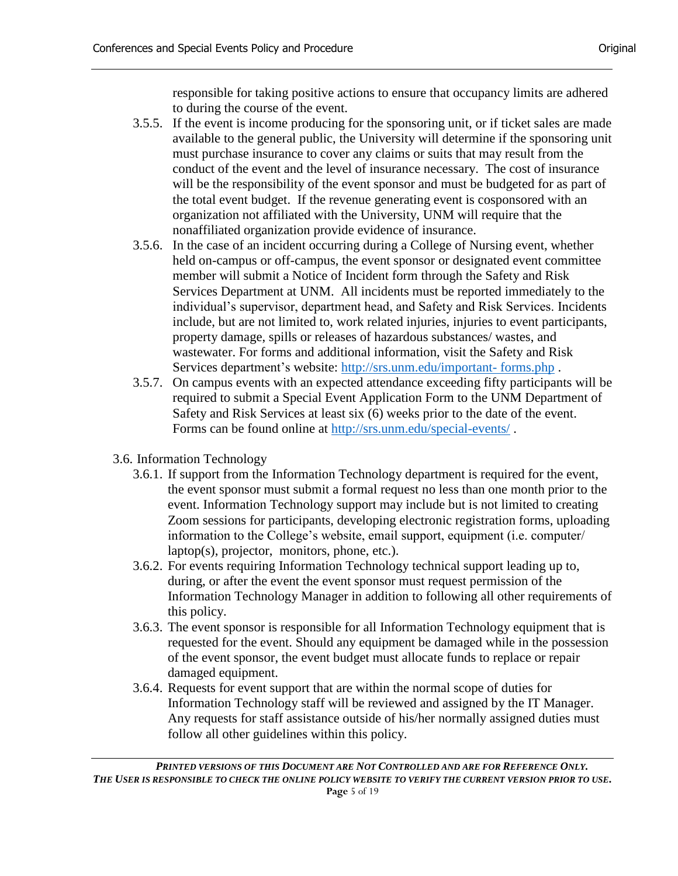responsible for taking positive actions to ensure that occupancy limits are adhered to during the course of the event.

- 3.5.5. If the event is income producing for the sponsoring unit, or if ticket sales are made available to the general public, the University will determine if the sponsoring unit must purchase insurance to cover any claims or suits that may result from the conduct of the event and the level of insurance necessary. The cost of insurance will be the responsibility of the event sponsor and must be budgeted for as part of the total event budget. If the revenue generating event is cosponsored with an organization not affiliated with the University, UNM will require that the nonaffiliated organization provide evidence of insurance.
- 3.5.6. In the case of an incident occurring during a College of Nursing event, whether held on-campus or off-campus, the event sponsor or designated event committee member will submit a Notice of Incident form through the Safety and Risk Services Department at UNM. All incidents must be reported immediately to the individual's supervisor, department head, and Safety and Risk Services. Incidents include, but are not limited to, work related injuries, injuries to event participants, property damage, spills or releases of hazardous substances/ wastes, and wastewater. For forms and additional information, visit the Safety and Risk Services department's website: [http://srs.unm.edu/important-](http://srs.unm.edu/important-%20forms.php) forms.php .
- 3.5.7. On campus events with an expected attendance exceeding fifty participants will be required to submit a Special Event Application Form to the UNM Department of Safety and Risk Services at least six (6) weeks prior to the date of the event. Forms can be found online at<http://srs.unm.edu/special-events/> .
- 3.6. Information Technology
	- 3.6.1. If support from the Information Technology department is required for the event, the event sponsor must submit a formal request no less than one month prior to the event. Information Technology support may include but is not limited to creating Zoom sessions for participants, developing electronic registration forms, uploading information to the College's website, email support, equipment (i.e. computer/ laptop(s), projector, monitors, phone, etc.).
	- 3.6.2. For events requiring Information Technology technical support leading up to, during, or after the event the event sponsor must request permission of the Information Technology Manager in addition to following all other requirements of this policy.
	- 3.6.3. The event sponsor is responsible for all Information Technology equipment that is requested for the event. Should any equipment be damaged while in the possession of the event sponsor, the event budget must allocate funds to replace or repair damaged equipment.
	- 3.6.4. Requests for event support that are within the normal scope of duties for Information Technology staff will be reviewed and assigned by the IT Manager. Any requests for staff assistance outside of his/her normally assigned duties must follow all other guidelines within this policy.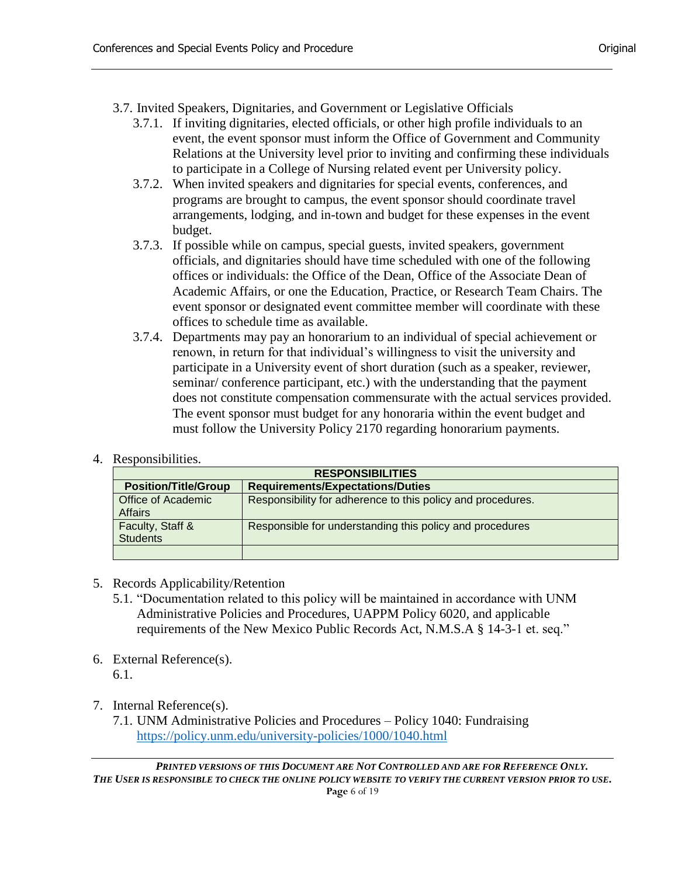3.7. Invited Speakers, Dignitaries, and Government or Legislative Officials

- 3.7.1. If inviting dignitaries, elected officials, or other high profile individuals to an event, the event sponsor must inform the Office of Government and Community Relations at the University level prior to inviting and confirming these individuals to participate in a College of Nursing related event per University policy.
- 3.7.2. When invited speakers and dignitaries for special events, conferences, and programs are brought to campus, the event sponsor should coordinate travel arrangements, lodging, and in-town and budget for these expenses in the event budget.
- 3.7.3. If possible while on campus, special guests, invited speakers, government officials, and dignitaries should have time scheduled with one of the following offices or individuals: the Office of the Dean, Office of the Associate Dean of Academic Affairs, or one the Education, Practice, or Research Team Chairs. The event sponsor or designated event committee member will coordinate with these offices to schedule time as available.
- 3.7.4. Departments may pay an honorarium to an individual of special achievement or renown, in return for that individual's willingness to visit the university and participate in a University event of short duration (such as a speaker, reviewer, seminar/ conference participant, etc.) with the understanding that the payment does not constitute compensation commensurate with the actual services provided. The event sponsor must budget for any honoraria within the event budget and must follow the University Policy 2170 regarding honorarium payments.
- 4. Responsibilities.

|                                             | <b>RESPONSIBILITIES</b>                                     |
|---------------------------------------------|-------------------------------------------------------------|
| <b>Position/Title/Group</b>                 | <b>Requirements/Expectations/Duties</b>                     |
| <b>Office of Academic</b><br><b>Affairs</b> | Responsibility for adherence to this policy and procedures. |
| Faculty, Staff &<br><b>Students</b>         | Responsible for understanding this policy and procedures    |
|                                             |                                                             |

- 5. Records Applicability/Retention
	- 5.1. "Documentation related to this policy will be maintained in accordance with UNM Administrative Policies and Procedures, UAPPM Policy 6020, and applicable requirements of the New Mexico Public Records Act, N.M.S.A § 14-3-1 et. seq."
- 6. External Reference(s). 6.1.
- 7. Internal Reference(s).
	- 7.1. UNM Administrative Policies and Procedures Policy 1040: Fundraising <https://policy.unm.edu/university-policies/1000/1040.html>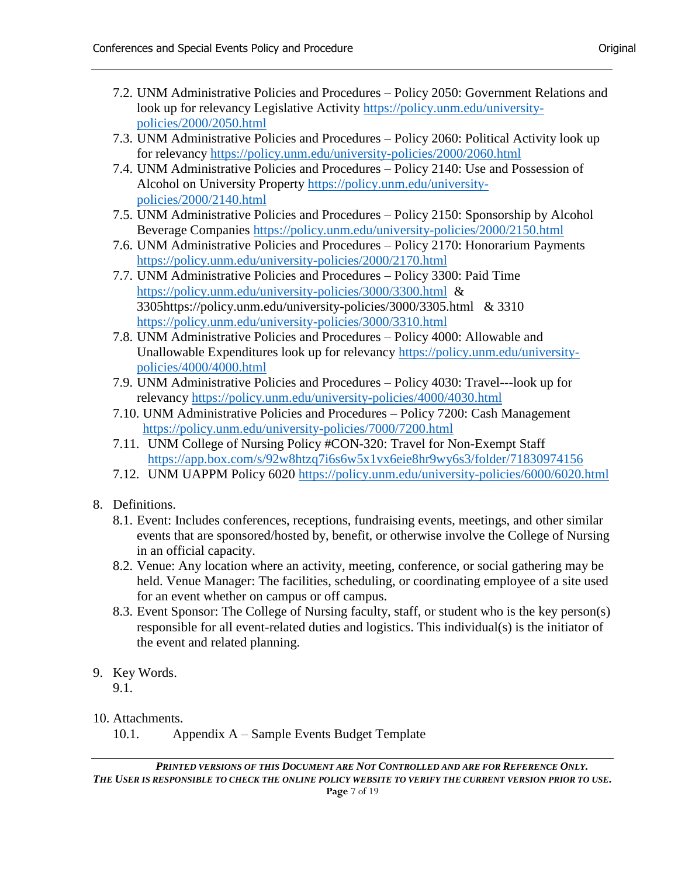- 7.2. UNM Administrative Policies and Procedures Policy 2050: Government Relations and look up for relevancy Legislative Activity [https://policy.unm.edu/university](https://policy.unm.edu/university-policies/2000/2050.html)[policies/2000/2050.html](https://policy.unm.edu/university-policies/2000/2050.html)
- 7.3. UNM Administrative Policies and Procedures Policy 2060: Political Activity look up for relevancy <https://policy.unm.edu/university-policies/2000/2060.html>
- 7.4. UNM Administrative Policies and Procedures Policy 2140: Use and Possession of Alcohol on University Property [https://policy.unm.edu/university](https://policy.unm.edu/university-policies/2000/2140.html)[policies/2000/2140.html](https://policy.unm.edu/university-policies/2000/2140.html)
- 7.5. UNM Administrative Policies and Procedures Policy 2150: Sponsorship by Alcohol Beverage Companies <https://policy.unm.edu/university-policies/2000/2150.html>
- 7.6. UNM Administrative Policies and Procedures Policy 2170: Honorarium Payments <https://policy.unm.edu/university-policies/2000/2170.html>
- 7.7. UNM Administrative Policies and Procedures Policy 3300: Paid Time <https://policy.unm.edu/university-policies/3000/3300.html> & 3305https://policy.unm.edu/university-policies/3000/3305.html & 3310 <https://policy.unm.edu/university-policies/3000/3310.html>
- 7.8. UNM Administrative Policies and Procedures Policy 4000: Allowable and Unallowable Expenditures look up for relevancy [https://policy.unm.edu/university](https://policy.unm.edu/university-policies/4000/4000.html)[policies/4000/4000.html](https://policy.unm.edu/university-policies/4000/4000.html)
- 7.9. UNM Administrative Policies and Procedures Policy 4030: Travel---look up for relevancy <https://policy.unm.edu/university-policies/4000/4030.html>
- 7.10. UNM Administrative Policies and Procedures Policy 7200: Cash Management <https://policy.unm.edu/university-policies/7000/7200.html>
- 7.11. UNM College of Nursing Policy #CON-320: Travel for Non-Exempt Staff <https://app.box.com/s/92w8htzq7i6s6w5x1vx6eie8hr9wy6s3/folder/71830974156>
- 7.12. UNM UAPPM Policy 6020 <https://policy.unm.edu/university-policies/6000/6020.html>
- 8. Definitions.
	- 8.1. Event: Includes conferences, receptions, fundraising events, meetings, and other similar events that are sponsored/hosted by, benefit, or otherwise involve the College of Nursing in an official capacity.
	- 8.2. Venue: Any location where an activity, meeting, conference, or social gathering may be held. Venue Manager: The facilities, scheduling, or coordinating employee of a site used for an event whether on campus or off campus.
	- 8.3. Event Sponsor: The College of Nursing faculty, staff, or student who is the key person(s) responsible for all event-related duties and logistics. This individual(s) is the initiator of the event and related planning.
- 9. Key Words.

9.1.

#### 10. Attachments.

10.1. Appendix A – Sample Events Budget Template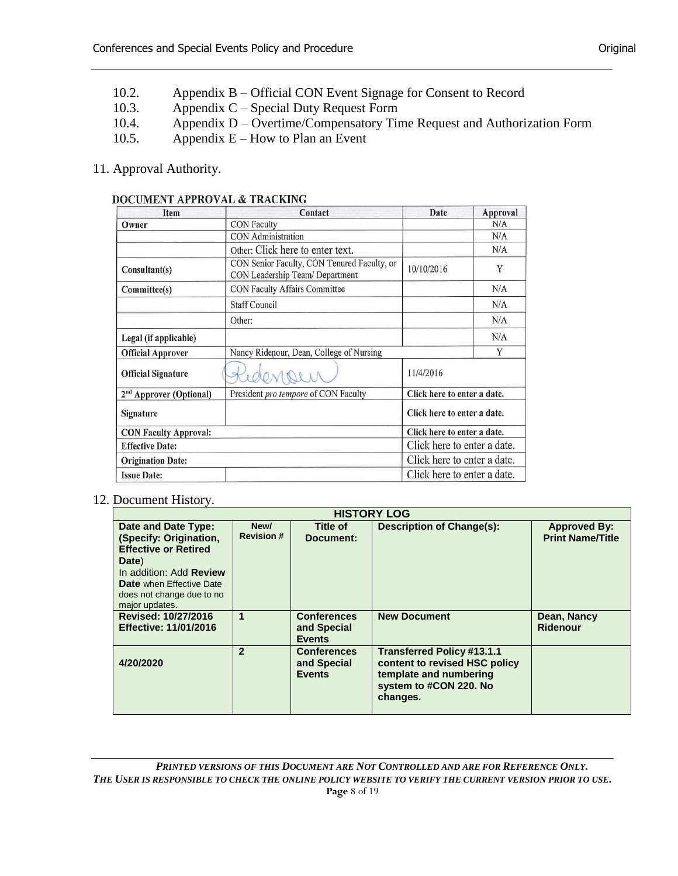- 10.2. Appendix B Official CON Event Signage for Consent to Record
- 10.3. Appendix C Special Duty Request Form
- 10.4. Appendix D Overtime/Compensatory Time Request and Authorization Form
- 10.5. Appendix  $E How$  to Plan an Event
- 11. Approval Authority.

#### DOCUMENT APPROVAL & TRACKING

| Item                                | Contact                                                                        | Date                        | Approval |
|-------------------------------------|--------------------------------------------------------------------------------|-----------------------------|----------|
| Owner                               | <b>CON Faculty</b>                                                             |                             | N/A      |
|                                     | <b>CON</b> Administration                                                      |                             | N/A      |
|                                     | Other: Click here to enter text.                                               |                             | N/A      |
| Consultant(s)                       | CON Senior Faculty, CON Tenured Faculty, or<br>CON Leadership Team/ Department | 10/10/2016                  | Y        |
| Committee(s)                        | CON Faculty Affairs Committee                                                  |                             | N/A      |
|                                     | <b>Staff Council</b>                                                           |                             | N/A      |
|                                     | Other:                                                                         |                             | N/A      |
| Legal (if applicable)               |                                                                                |                             | N/A      |
| <b>Official Approver</b>            | Nancy Ridenour, Dean, College of Nursing                                       |                             | Y        |
| <b>Official Signature</b>           |                                                                                | 11/4/2016                   |          |
| 2 <sup>nd</sup> Approver (Optional) | President pro tempore of CON Faculty                                           | Click here to enter a date. |          |
| Signature                           |                                                                                | Click here to enter a date. |          |
| <b>CON Faculty Approval:</b>        |                                                                                | Click here to enter a date. |          |
| <b>Effective Date:</b>              |                                                                                | Click here to enter a date. |          |
| <b>Origination Date:</b>            |                                                                                | Click here to enter a date. |          |
| <b>Issue Date:</b>                  |                                                                                | Click here to enter a date. |          |

#### 12. Document History.

|                                                                                                                                                                                                           |                           |                                                    | <b>HISTORY LOG</b>                                                                                                                 |                                                |
|-----------------------------------------------------------------------------------------------------------------------------------------------------------------------------------------------------------|---------------------------|----------------------------------------------------|------------------------------------------------------------------------------------------------------------------------------------|------------------------------------------------|
| Date and Date Type:<br>(Specify: Origination,<br><b>Effective or Retired</b><br>Date)<br>In addition: Add <b>Review</b><br><b>Date</b> when Effective Date<br>does not change due to no<br>major updates. | New/<br><b>Revision #</b> | Title of<br>Document:                              | <b>Description of Change(s):</b>                                                                                                   | <b>Approved By:</b><br><b>Print Name/Title</b> |
| Revised: 10/27/2016<br><b>Effective: 11/01/2016</b>                                                                                                                                                       | $\mathbf{1}$              | <b>Conferences</b><br>and Special<br><b>Events</b> | <b>New Document</b>                                                                                                                | Dean, Nancy<br>Ridenour                        |
| 4/20/2020                                                                                                                                                                                                 | $\overline{\mathbf{z}}$   | <b>Conferences</b><br>and Special<br><b>Events</b> | <b>Transferred Policy #13.1.1</b><br>content to revised HSC policy<br>template and numbering<br>system to #CON 220. No<br>changes. |                                                |

*PRINTED VERSIONS OF THIS DOCUMENT ARE NOT CONTROLLED AND ARE FOR REFERENCE ONLY. THE USER IS RESPONSIBLE TO CHECK THE ONLINE POLICY WEBSITE TO VERIFY THE CURRENT VERSION PRIOR TO USE.* **Page** 8 of 19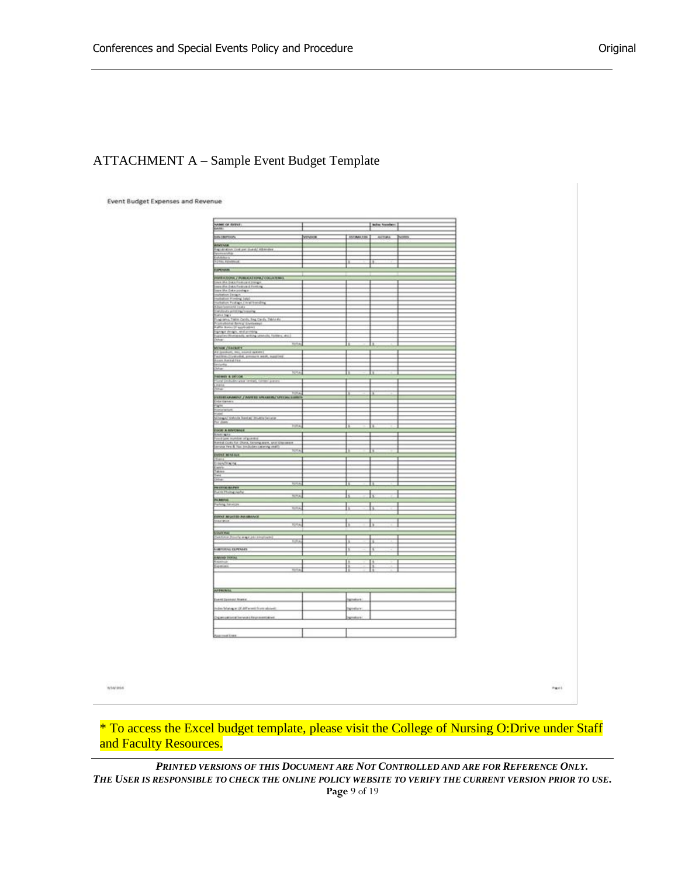# ATTACHMENT A – Sample Event Budget Template

**Event Budget Expenses and Revenue** 

| NAME OF BEEST                                                                                                                                                                                                                                                                                                                                                                                                                                                                                                                                            |               |                                   | Index Services |              |
|----------------------------------------------------------------------------------------------------------------------------------------------------------------------------------------------------------------------------------------------------------------------------------------------------------------------------------------------------------------------------------------------------------------------------------------------------------------------------------------------------------------------------------------------------------|---------------|-----------------------------------|----------------|--------------|
| bit cartoon                                                                                                                                                                                                                                                                                                                                                                                                                                                                                                                                              | <b>PENDIX</b> | BITANIES ACTUAL                   |                | <b>Power</b> |
|                                                                                                                                                                                                                                                                                                                                                                                                                                                                                                                                                          |               |                                   |                |              |
| <b>ABRINA</b><br>Tap at all the cost per costal/ ABANDIX                                                                                                                                                                                                                                                                                                                                                                                                                                                                                                 |               |                                   |                |              |
|                                                                                                                                                                                                                                                                                                                                                                                                                                                                                                                                                          |               |                                   |                |              |
| Estados<br>Ferra Enemie                                                                                                                                                                                                                                                                                                                                                                                                                                                                                                                                  |               | П                                 | Ŀ              |              |
|                                                                                                                                                                                                                                                                                                                                                                                                                                                                                                                                                          |               |                                   |                |              |
| <b>UNIVER</b>                                                                                                                                                                                                                                                                                                                                                                                                                                                                                                                                            |               |                                   |                |              |
|                                                                                                                                                                                                                                                                                                                                                                                                                                                                                                                                                          |               |                                   |                |              |
|                                                                                                                                                                                                                                                                                                                                                                                                                                                                                                                                                          |               |                                   |                |              |
|                                                                                                                                                                                                                                                                                                                                                                                                                                                                                                                                                          |               |                                   |                |              |
|                                                                                                                                                                                                                                                                                                                                                                                                                                                                                                                                                          |               |                                   |                |              |
|                                                                                                                                                                                                                                                                                                                                                                                                                                                                                                                                                          |               |                                   |                |              |
|                                                                                                                                                                                                                                                                                                                                                                                                                                                                                                                                                          |               |                                   |                |              |
|                                                                                                                                                                                                                                                                                                                                                                                                                                                                                                                                                          |               |                                   |                |              |
|                                                                                                                                                                                                                                                                                                                                                                                                                                                                                                                                                          |               |                                   |                |              |
|                                                                                                                                                                                                                                                                                                                                                                                                                                                                                                                                                          |               |                                   |                |              |
|                                                                                                                                                                                                                                                                                                                                                                                                                                                                                                                                                          |               |                                   |                |              |
|                                                                                                                                                                                                                                                                                                                                                                                                                                                                                                                                                          |               |                                   |                |              |
| Wallen/Stationarty, writing utancity, folders, also                                                                                                                                                                                                                                                                                                                                                                                                                                                                                                      |               |                                   |                |              |
|                                                                                                                                                                                                                                                                                                                                                                                                                                                                                                                                                          |               |                                   |                |              |
|                                                                                                                                                                                                                                                                                                                                                                                                                                                                                                                                                          |               |                                   |                |              |
|                                                                                                                                                                                                                                                                                                                                                                                                                                                                                                                                                          |               |                                   |                |              |
|                                                                                                                                                                                                                                                                                                                                                                                                                                                                                                                                                          |               |                                   |                |              |
| $\begin{minipage}{0.9\textwidth} \begin{minipage}{0.9\textwidth} \centering \begin{minipage}{0.9\textwidth} \centering \end{minipage} \begin{minipage}{0.9\textwidth} \centering \begin{minipage}{0.9\textwidth} \centering \end{minipage} \begin{minipage}{0.9\textwidth} \centering \end{minipage} \begin{minipage}{0.9\textwidth} \centering \end{minipage} \begin{minipage}{0.9\textwidth} \centering \end{minipage} \begin{minipage}{0.9\textwidth} \centering \end{minipage} \begin{minipage}{0.9\textwidth} \centering \end{minipage} \begin{min$ |               |                                   |                |              |
|                                                                                                                                                                                                                                                                                                                                                                                                                                                                                                                                                          |               |                                   |                |              |
| <b>SEMINATED AT AN ADDRESS</b>                                                                                                                                                                                                                                                                                                                                                                                                                                                                                                                           |               |                                   |                |              |
| unt (mituler pas instal) (anter pa-                                                                                                                                                                                                                                                                                                                                                                                                                                                                                                                      |               |                                   |                |              |
|                                                                                                                                                                                                                                                                                                                                                                                                                                                                                                                                                          |               |                                   |                |              |
|                                                                                                                                                                                                                                                                                                                                                                                                                                                                                                                                                          |               |                                   | п              |              |
| ENTERTAINMENT / WINTER MINARITY MELSON SURE TO                                                                                                                                                                                                                                                                                                                                                                                                                                                                                                           |               |                                   |                |              |
|                                                                                                                                                                                                                                                                                                                                                                                                                                                                                                                                                          |               |                                   |                |              |
|                                                                                                                                                                                                                                                                                                                                                                                                                                                                                                                                                          |               |                                   |                |              |
|                                                                                                                                                                                                                                                                                                                                                                                                                                                                                                                                                          |               |                                   |                |              |
|                                                                                                                                                                                                                                                                                                                                                                                                                                                                                                                                                          |               |                                   |                |              |
|                                                                                                                                                                                                                                                                                                                                                                                                                                                                                                                                                          |               | в                                 | в              |              |
| China<br>  Saltana<br>  Saltana   Saltana   Saltana   Shuffan   Saltana<br>  Saltana   Saltana   Saltana   Saltana   Saltana  <br>  Saltana<br><b>ENERGY ARRESTED FOR THE EXECUTIVE OF A REPORT OF A REPORT OF A REPORT OF A REPORT OF A REPORT OF A REPORT OF A REPORT OF A REPORT OF A REPORT OF A REPORT OF A REPORT OF A REPORT OF A REPORT OF A REPORT OF A REPORT OF A RE</b>                                                                                                                                                                      |               |                                   |                |              |
|                                                                                                                                                                                                                                                                                                                                                                                                                                                                                                                                                          |               |                                   |                |              |
|                                                                                                                                                                                                                                                                                                                                                                                                                                                                                                                                                          |               |                                   |                |              |
|                                                                                                                                                                                                                                                                                                                                                                                                                                                                                                                                                          |               | İ                                 | t              |              |
| <b>DOM HAND</b>                                                                                                                                                                                                                                                                                                                                                                                                                                                                                                                                          |               |                                   |                |              |
| $\frac{1}{2}$<br>È                                                                                                                                                                                                                                                                                                                                                                                                                                                                                                                                       |               |                                   |                |              |
|                                                                                                                                                                                                                                                                                                                                                                                                                                                                                                                                                          |               |                                   |                |              |
|                                                                                                                                                                                                                                                                                                                                                                                                                                                                                                                                                          |               |                                   |                |              |
| $-14$                                                                                                                                                                                                                                                                                                                                                                                                                                                                                                                                                    |               |                                   |                |              |
| $\mathbb{Z}_2$                                                                                                                                                                                                                                                                                                                                                                                                                                                                                                                                           |               | ħ                                 | ħ              |              |
| PROTECTIVE                                                                                                                                                                                                                                                                                                                                                                                                                                                                                                                                               |               |                                   |                |              |
| ज़                                                                                                                                                                                                                                                                                                                                                                                                                                                                                                                                                       |               | Ł                                 | ħ              |              |
| Palamera<br>Palaceg Turus                                                                                                                                                                                                                                                                                                                                                                                                                                                                                                                                |               |                                   |                |              |
|                                                                                                                                                                                                                                                                                                                                                                                                                                                                                                                                                          |               |                                   |                |              |
|                                                                                                                                                                                                                                                                                                                                                                                                                                                                                                                                                          |               |                                   |                |              |
|                                                                                                                                                                                                                                                                                                                                                                                                                                                                                                                                                          |               |                                   |                |              |
| <b>DON'T REALTER PROBATION</b><br>٠                                                                                                                                                                                                                                                                                                                                                                                                                                                                                                                      |               |                                   | ħ              |              |
| ____                                                                                                                                                                                                                                                                                                                                                                                                                                                                                                                                                     |               |                                   |                |              |
| <b>Station</b><br>Content contractor and content                                                                                                                                                                                                                                                                                                                                                                                                                                                                                                         |               |                                   |                |              |
|                                                                                                                                                                                                                                                                                                                                                                                                                                                                                                                                                          |               | Þ                                 | Þ              |              |
|                                                                                                                                                                                                                                                                                                                                                                                                                                                                                                                                                          |               |                                   |                |              |
|                                                                                                                                                                                                                                                                                                                                                                                                                                                                                                                                                          |               | t                                 | ħ              |              |
| <br> -<br>  Kanadi Tokas<br>  Kanadi Tokas                                                                                                                                                                                                                                                                                                                                                                                                                                                                                                               |               |                                   |                |              |
|                                                                                                                                                                                                                                                                                                                                                                                                                                                                                                                                                          |               | H                                 | H              |              |
| <b>Committee</b><br>z.                                                                                                                                                                                                                                                                                                                                                                                                                                                                                                                                   |               | Π                                 | Ħ              |              |
|                                                                                                                                                                                                                                                                                                                                                                                                                                                                                                                                                          |               |                                   |                |              |
|                                                                                                                                                                                                                                                                                                                                                                                                                                                                                                                                                          |               |                                   |                |              |
|                                                                                                                                                                                                                                                                                                                                                                                                                                                                                                                                                          |               |                                   |                |              |
| AFFRANK COMMUNICATION                                                                                                                                                                                                                                                                                                                                                                                                                                                                                                                                    |               | and the company of the company of |                |              |
|                                                                                                                                                                                                                                                                                                                                                                                                                                                                                                                                                          |               |                                   |                |              |
| Exert Dessus Avere                                                                                                                                                                                                                                                                                                                                                                                                                                                                                                                                       |               | handson.                          |                |              |
| min Margar (6 Affront from shield                                                                                                                                                                                                                                                                                                                                                                                                                                                                                                                        |               |                                   |                |              |
|                                                                                                                                                                                                                                                                                                                                                                                                                                                                                                                                                          |               | Station.                          |                |              |
| Demonstrations/Approved                                                                                                                                                                                                                                                                                                                                                                                                                                                                                                                                  |               | <b>SECURE LICE</b>                |                |              |
|                                                                                                                                                                                                                                                                                                                                                                                                                                                                                                                                                          |               |                                   |                |              |
|                                                                                                                                                                                                                                                                                                                                                                                                                                                                                                                                                          |               |                                   |                |              |
| August Late                                                                                                                                                                                                                                                                                                                                                                                                                                                                                                                                              |               |                                   |                |              |
|                                                                                                                                                                                                                                                                                                                                                                                                                                                                                                                                                          |               |                                   |                |              |

**WWWH6** 

 $r_{\rm{eff}}$  (

\* To access the Excel budget template, please visit the College of Nursing O:Drive under Staff and Faculty Resources.

*PRINTED VERSIONS OF THIS DOCUMENT ARE NOT CONTROLLED AND ARE FOR REFERENCE ONLY. THE USER IS RESPONSIBLE TO CHECK THE ONLINE POLICY WEBSITE TO VERIFY THE CURRENT VERSION PRIOR TO USE.* **Page** 9 of 19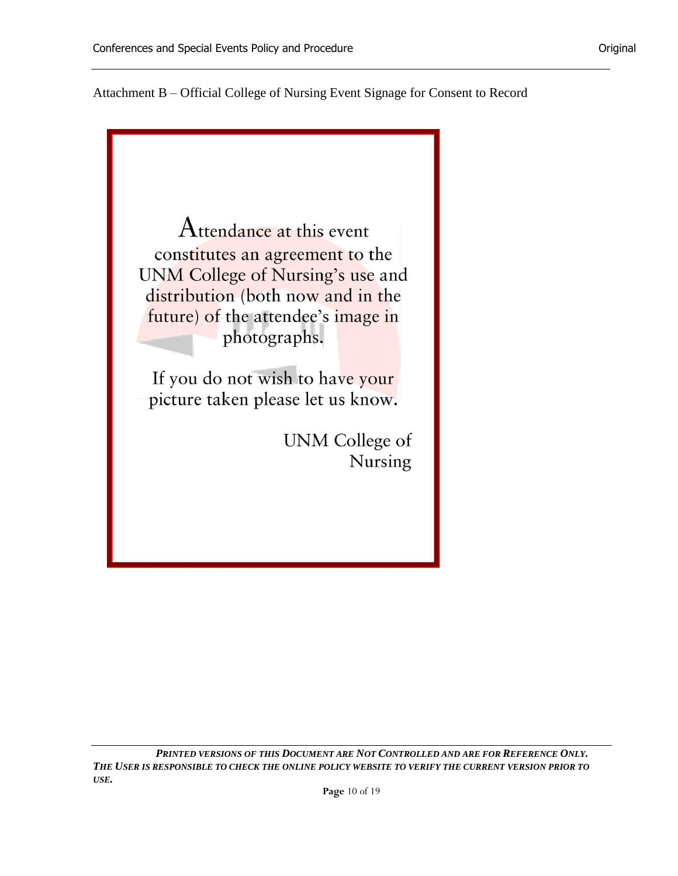Attachment B – Official College of Nursing Event Signage for Consent to Record



*PRINTED VERSIONS OF THIS DOCUMENT ARE NOT CONTROLLED AND ARE FOR REFERENCE ONLY. THE USER IS RESPONSIBLE TO CHECK THE ONLINE POLICY WEBSITE TO VERIFY THE CURRENT VERSION PRIOR TO USE.*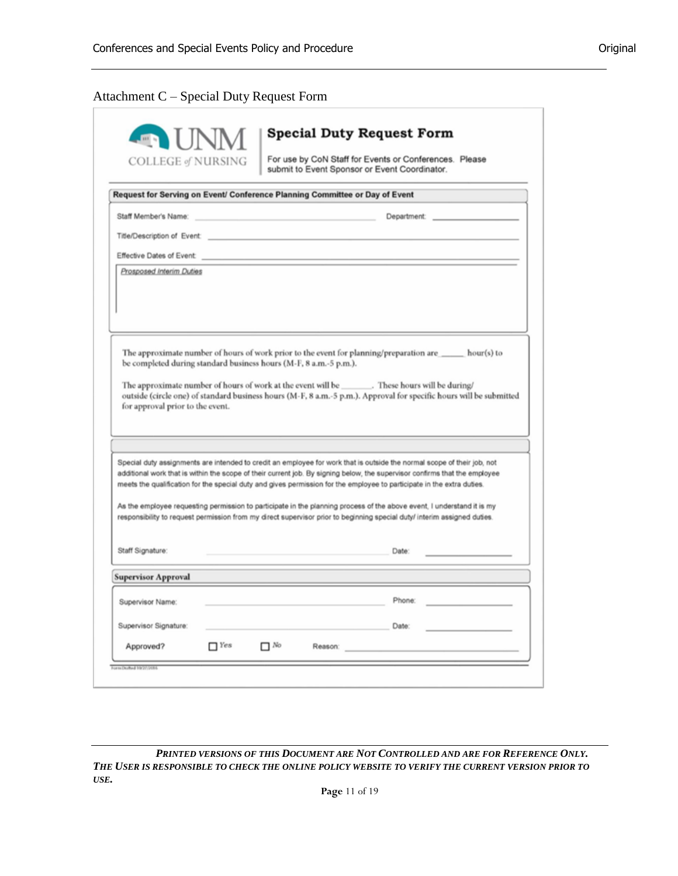# Attachment C – Special Duty Request Form

| <b>COLLEGE of NURSING</b>                                                                                                                                                                                                                                                                                                                                                                                                                                                                                                                                                                                                                                 |  | For use by CoN Staff for Events or Conferences. Please |                                                                                                                     |
|-----------------------------------------------------------------------------------------------------------------------------------------------------------------------------------------------------------------------------------------------------------------------------------------------------------------------------------------------------------------------------------------------------------------------------------------------------------------------------------------------------------------------------------------------------------------------------------------------------------------------------------------------------------|--|--------------------------------------------------------|---------------------------------------------------------------------------------------------------------------------|
|                                                                                                                                                                                                                                                                                                                                                                                                                                                                                                                                                                                                                                                           |  | submit to Event Sponsor or Event Coordinator.          |                                                                                                                     |
| Request for Serving on Event/ Conference Planning Committee or Day of Event                                                                                                                                                                                                                                                                                                                                                                                                                                                                                                                                                                               |  |                                                        |                                                                                                                     |
| Staff Member's Name:                                                                                                                                                                                                                                                                                                                                                                                                                                                                                                                                                                                                                                      |  |                                                        |                                                                                                                     |
|                                                                                                                                                                                                                                                                                                                                                                                                                                                                                                                                                                                                                                                           |  |                                                        |                                                                                                                     |
| Effective Dates of Event:                                                                                                                                                                                                                                                                                                                                                                                                                                                                                                                                                                                                                                 |  |                                                        |                                                                                                                     |
| Prosposed Interim Duties                                                                                                                                                                                                                                                                                                                                                                                                                                                                                                                                                                                                                                  |  |                                                        |                                                                                                                     |
|                                                                                                                                                                                                                                                                                                                                                                                                                                                                                                                                                                                                                                                           |  |                                                        |                                                                                                                     |
|                                                                                                                                                                                                                                                                                                                                                                                                                                                                                                                                                                                                                                                           |  |                                                        |                                                                                                                     |
|                                                                                                                                                                                                                                                                                                                                                                                                                                                                                                                                                                                                                                                           |  |                                                        |                                                                                                                     |
|                                                                                                                                                                                                                                                                                                                                                                                                                                                                                                                                                                                                                                                           |  |                                                        |                                                                                                                     |
|                                                                                                                                                                                                                                                                                                                                                                                                                                                                                                                                                                                                                                                           |  |                                                        |                                                                                                                     |
| The approximate number of hours of work prior to the event for planning/preparation are ______ hour(s) to<br>be completed during standard business hours (M-F, 8 a.m.-5 p.m.).<br>The approximate number of hours of work at the event will be ________. These hours will be during/<br>for approval prior to the event.                                                                                                                                                                                                                                                                                                                                  |  |                                                        | outside (circle one) of standard business hours (M-F, 8 a.m.-5 p.m.). Approval for specific hours will be submitted |
|                                                                                                                                                                                                                                                                                                                                                                                                                                                                                                                                                                                                                                                           |  |                                                        |                                                                                                                     |
|                                                                                                                                                                                                                                                                                                                                                                                                                                                                                                                                                                                                                                                           |  |                                                        |                                                                                                                     |
| Special duty assignments are intended to credit an employee for work that is outside the normal scope of their job, not<br>additional work that is within the scope of their current job. By signing below, the supervisor confirms that the employee<br>meets the qualification for the special duty and gives permission for the employee to participate in the extra duties.<br>As the employee requesting permission to participate in the planning process of the above event, I understand it is my<br>responsibility to request permission from my direct supervisor prior to beginning special duty/ interim assigned duties.<br>Staff Signature: |  | Date:                                                  |                                                                                                                     |
|                                                                                                                                                                                                                                                                                                                                                                                                                                                                                                                                                                                                                                                           |  |                                                        |                                                                                                                     |
|                                                                                                                                                                                                                                                                                                                                                                                                                                                                                                                                                                                                                                                           |  |                                                        |                                                                                                                     |
| Supervisor Name:                                                                                                                                                                                                                                                                                                                                                                                                                                                                                                                                                                                                                                          |  | Phone:                                                 |                                                                                                                     |
| <b>Supervisor Approval</b><br>Supervisor Signature:                                                                                                                                                                                                                                                                                                                                                                                                                                                                                                                                                                                                       |  | Date:                                                  |                                                                                                                     |

*PRINTED VERSIONS OF THIS DOCUMENT ARE NOT CONTROLLED AND ARE FOR REFERENCE ONLY. THE USER IS RESPONSIBLE TO CHECK THE ONLINE POLICY WEBSITE TO VERIFY THE CURRENT VERSION PRIOR TO USE.*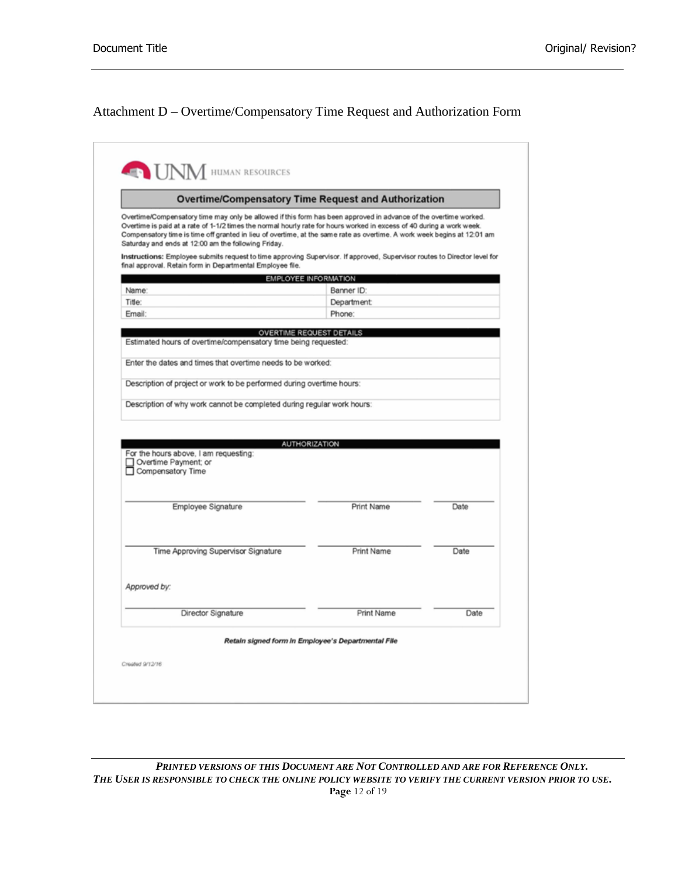# Attachment D – Overtime/Compensatory Time Request and Authorization Form

|                                                                                                                                                                                                                                                                                                                                                                                                                             | <b>Overtime/Compensatory Time Request and Authorization</b> |      |
|-----------------------------------------------------------------------------------------------------------------------------------------------------------------------------------------------------------------------------------------------------------------------------------------------------------------------------------------------------------------------------------------------------------------------------|-------------------------------------------------------------|------|
| Overtime/Compensatory time may only be allowed if this form has been approved in advance of the overtime worked.<br>Overtime is paid at a rate of 1-1/2 times the normal hourly rate for hours worked in excess of 40 during a work week.<br>Compensatory time is time off granted in lieu of overtime, at the same rate as overtime. A work week begins at 12:01 am<br>Saturday and ends at 12:00 am the following Friday. |                                                             |      |
| Instructions: Employee submits request to time approving Supervisor. If approved, Supervisor routes to Director level for<br>final approval. Retain form in Departmental Employee file.                                                                                                                                                                                                                                     |                                                             |      |
|                                                                                                                                                                                                                                                                                                                                                                                                                             | EMPLOYEE INFORMATION                                        |      |
| Name:                                                                                                                                                                                                                                                                                                                                                                                                                       | Banner ID:                                                  |      |
| Title:                                                                                                                                                                                                                                                                                                                                                                                                                      | Department:                                                 |      |
| Email:                                                                                                                                                                                                                                                                                                                                                                                                                      | Phone:                                                      |      |
|                                                                                                                                                                                                                                                                                                                                                                                                                             | OVERTIME REQUEST DETAILS                                    |      |
| Estimated hours of overtime/compensatory time being requested:                                                                                                                                                                                                                                                                                                                                                              |                                                             |      |
| Enter the dates and times that overtime needs to be worked:                                                                                                                                                                                                                                                                                                                                                                 |                                                             |      |
|                                                                                                                                                                                                                                                                                                                                                                                                                             |                                                             |      |
| Description of project or work to be performed during overtime hours:                                                                                                                                                                                                                                                                                                                                                       |                                                             |      |
| Description of why work cannot be completed during regular work hours:                                                                                                                                                                                                                                                                                                                                                      |                                                             |      |
| For the hours above, I am requesting:<br>Overtime Payment; or<br>Compensatory Time                                                                                                                                                                                                                                                                                                                                          | <b>AUTHORIZATION</b>                                        |      |
| Employee Signature                                                                                                                                                                                                                                                                                                                                                                                                          | Print Name                                                  | Date |
| Time Approving Supervisor Signature                                                                                                                                                                                                                                                                                                                                                                                         | Print Name                                                  | Date |
| Approved by:                                                                                                                                                                                                                                                                                                                                                                                                                |                                                             |      |
| Director Signature                                                                                                                                                                                                                                                                                                                                                                                                          | Print Name                                                  | Date |

*PRINTED VERSIONS OF THIS DOCUMENT ARE NOT CONTROLLED AND ARE FOR REFERENCE ONLY. THE USER IS RESPONSIBLE TO CHECK THE ONLINE POLICY WEBSITE TO VERIFY THE CURRENT VERSION PRIOR TO USE.* **Page** 12 of 19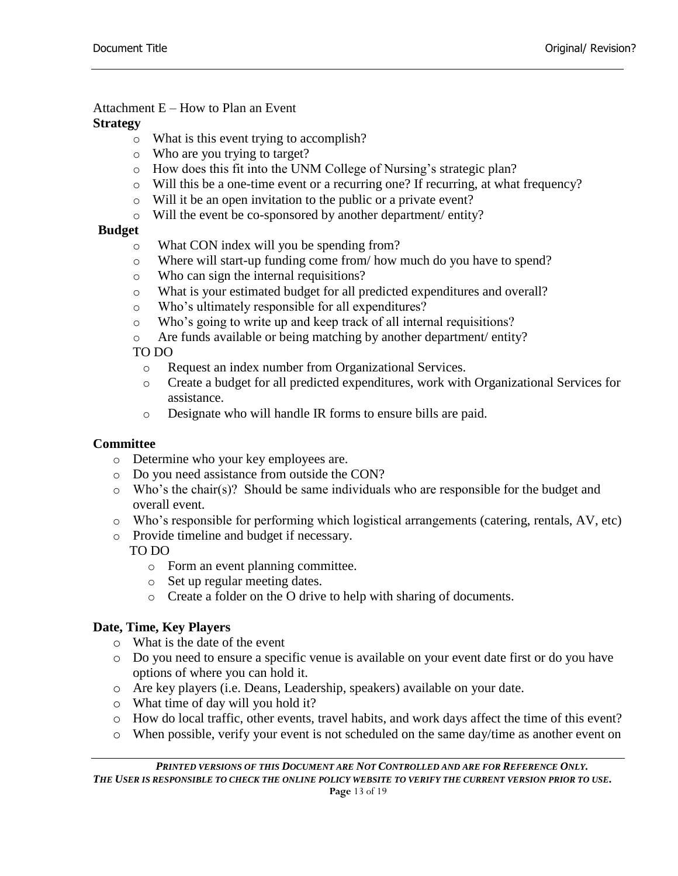## Attachment E – How to Plan an Event

## **Strategy**

- o What is this event trying to accomplish?
- o Who are you trying to target?
- o How does this fit into the UNM College of Nursing's strategic plan?
- $\circ$  Will this be a one-time event or a recurring one? If recurring, at what frequency?
- o Will it be an open invitation to the public or a private event?
- o Will the event be co-sponsored by another department/ entity?

# **Budget**

- o What CON index will you be spending from?
- o Where will start-up funding come from/ how much do you have to spend?
- o Who can sign the internal requisitions?
- o What is your estimated budget for all predicted expenditures and overall?
- o Who's ultimately responsible for all expenditures?
- o Who's going to write up and keep track of all internal requisitions?
- o Are funds available or being matching by another department/ entity?

# TO DO

- o Request an index number from Organizational Services.
- o Create a budget for all predicted expenditures, work with Organizational Services for assistance.
- o Designate who will handle IR forms to ensure bills are paid.

# **Committee**

- o Determine who your key employees are.
- o Do you need assistance from outside the CON?
- $\circ$  Who's the chair(s)? Should be same individuals who are responsible for the budget and overall event.
- o Who's responsible for performing which logistical arrangements (catering, rentals, AV, etc)
- o Provide timeline and budget if necessary.

# TO DO

- o Form an event planning committee.
- o Set up regular meeting dates.
- o Create a folder on the O drive to help with sharing of documents.

# **Date, Time, Key Players**

- o What is the date of the event
- o Do you need to ensure a specific venue is available on your event date first or do you have options of where you can hold it.
- o Are key players (i.e. Deans, Leadership, speakers) available on your date.
- o What time of day will you hold it?
- o How do local traffic, other events, travel habits, and work days affect the time of this event?
- o When possible, verify your event is not scheduled on the same day/time as another event on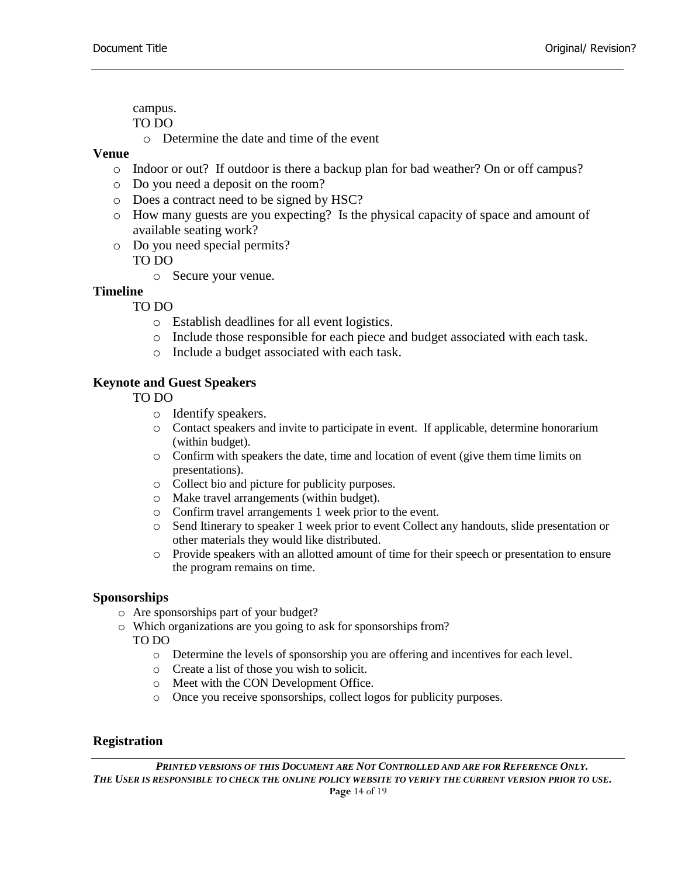campus.

TO DO

o Determine the date and time of the event

## **Venue**

- o Indoor or out? If outdoor is there a backup plan for bad weather? On or off campus?
- o Do you need a deposit on the room?
- o Does a contract need to be signed by HSC?
- o How many guests are you expecting? Is the physical capacity of space and amount of available seating work?
- o Do you need special permits? TO DO
	- o Secure your venue.

## **Timeline**

- TO DO
	- o Establish deadlines for all event logistics.
	- o Include those responsible for each piece and budget associated with each task.
	- o Include a budget associated with each task.

## **Keynote and Guest Speakers**

## TO DO

- o Identify speakers.
- o Contact speakers and invite to participate in event. If applicable, determine honorarium (within budget).
- o Confirm with speakers the date, time and location of event (give them time limits on presentations).
- o Collect bio and picture for publicity purposes.
- o Make travel arrangements (within budget).
- o Confirm travel arrangements 1 week prior to the event.
- o Send Itinerary to speaker 1 week prior to event Collect any handouts, slide presentation or other materials they would like distributed.
- o Provide speakers with an allotted amount of time for their speech or presentation to ensure the program remains on time.

## **Sponsorships**

- o Are sponsorships part of your budget?
- o Which organizations are you going to ask for sponsorships from?

TO DO

- o Determine the levels of sponsorship you are offering and incentives for each level.
- o Create a list of those you wish to solicit.
- o Meet with the CON Development Office.
- o Once you receive sponsorships, collect logos for publicity purposes.

## **Registration**

*PRINTED VERSIONS OF THIS DOCUMENT ARE NOT CONTROLLED AND ARE FOR REFERENCE ONLY. THE USER IS RESPONSIBLE TO CHECK THE ONLINE POLICY WEBSITE TO VERIFY THE CURRENT VERSION PRIOR TO USE.* **Page** 14 of 19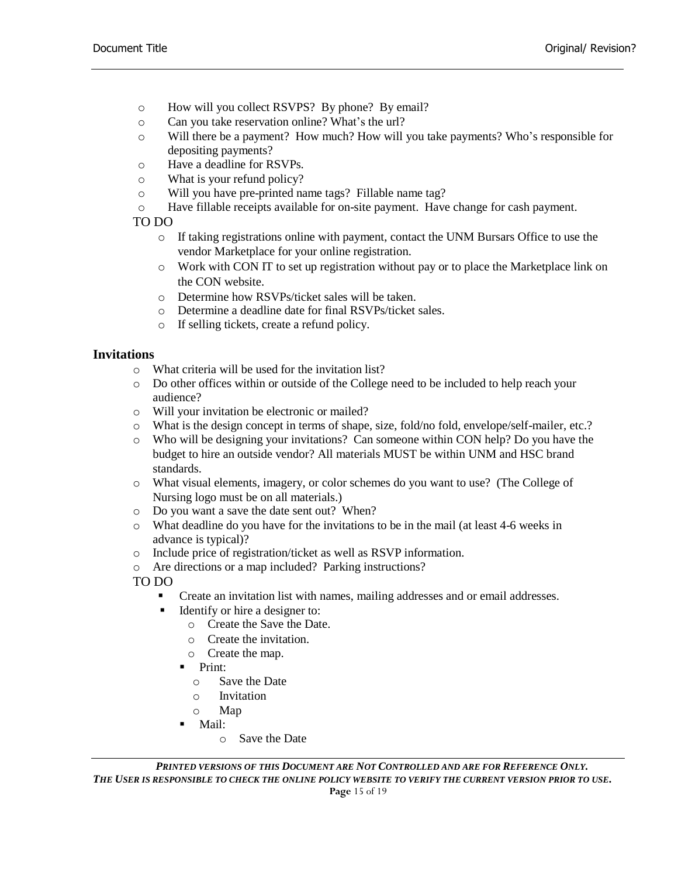- o How will you collect RSVPS? By phone? By email?
- o Can you take reservation online? What's the url?
- o Will there be a payment? How much? How will you take payments? Who's responsible for depositing payments?
- o Have a deadline for RSVPs.
- o What is your refund policy?
- o Will you have pre-printed name tags? Fillable name tag?
- o Have fillable receipts available for on-site payment. Have change for cash payment.
- TO DO
	- o If taking registrations online with payment, contact the UNM Bursars Office to use the vendor Marketplace for your online registration.
	- o Work with CON IT to set up registration without pay or to place the Marketplace link on the CON website.
	- o Determine how RSVPs/ticket sales will be taken.
	- o Determine a deadline date for final RSVPs/ticket sales.
	- o If selling tickets, create a refund policy.

## **Invitations**

- o What criteria will be used for the invitation list?
- o Do other offices within or outside of the College need to be included to help reach your audience?
- o Will your invitation be electronic or mailed?
- o What is the design concept in terms of shape, size, fold/no fold, envelope/self-mailer, etc.?
- o Who will be designing your invitations? Can someone within CON help? Do you have the budget to hire an outside vendor? All materials MUST be within UNM and HSC brand standards.
- o What visual elements, imagery, or color schemes do you want to use? (The College of Nursing logo must be on all materials.)
- o Do you want a save the date sent out? When?
- o What deadline do you have for the invitations to be in the mail (at least 4-6 weeks in advance is typical)?
- o Include price of registration/ticket as well as RSVP information.
- o Are directions or a map included? Parking instructions?

TO DO

- **•** Create an invitation list with names, mailing addresses and or email addresses.
- Identify or hire a designer to:
	- o Create the Save the Date.
	- o Create the invitation.
	- o Create the map.
	- $\blacksquare$  Print:
		- o Save the Date
		- o Invitation
		- o Map
	- Mail:
		- o Save the Date

*PRINTED VERSIONS OF THIS DOCUMENT ARE NOT CONTROLLED AND ARE FOR REFERENCE ONLY. THE USER IS RESPONSIBLE TO CHECK THE ONLINE POLICY WEBSITE TO VERIFY THE CURRENT VERSION PRIOR TO USE.* **Page** 15 of 19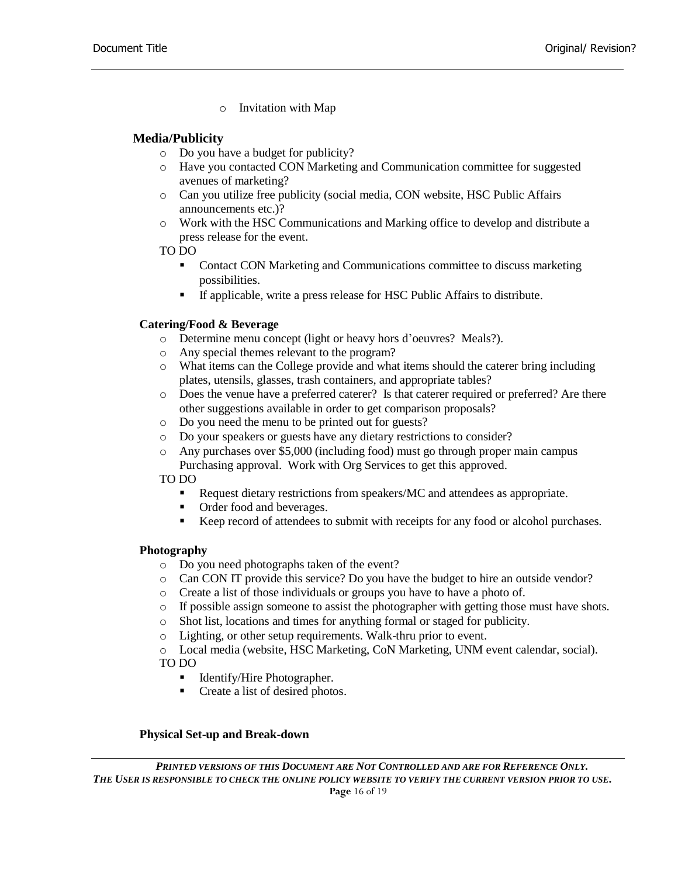o Invitation with Map

## **Media/Publicity**

- o Do you have a budget for publicity?
- o Have you contacted CON Marketing and Communication committee for suggested avenues of marketing?
- o Can you utilize free publicity (social media, CON website, HSC Public Affairs announcements etc.)?
- o Work with the HSC Communications and Marking office to develop and distribute a press release for the event.

TO DO

- **Contact CON Marketing and Communications committee to discuss marketing** possibilities.
- If applicable, write a press release for HSC Public Affairs to distribute.

## **Catering/Food & Beverage**

- o Determine menu concept (light or heavy hors d'oeuvres? Meals?).
- o Any special themes relevant to the program?
- o What items can the College provide and what items should the caterer bring including plates, utensils, glasses, trash containers, and appropriate tables?
- o Does the venue have a preferred caterer? Is that caterer required or preferred? Are there other suggestions available in order to get comparison proposals?
- o Do you need the menu to be printed out for guests?
- o Do your speakers or guests have any dietary restrictions to consider?
- o Any purchases over \$5,000 (including food) must go through proper main campus Purchasing approval. Work with Org Services to get this approved.

TO DO

- Request dietary restrictions from speakers/MC and attendees as appropriate.
- Order food and beverages.
- Keep record of attendees to submit with receipts for any food or alcohol purchases.

## **Photography**

- o Do you need photographs taken of the event?
- o Can CON IT provide this service? Do you have the budget to hire an outside vendor?
- o Create a list of those individuals or groups you have to have a photo of.
- o If possible assign someone to assist the photographer with getting those must have shots.
- o Shot list, locations and times for anything formal or staged for publicity.
- o Lighting, or other setup requirements. Walk-thru prior to event.

o Local media (website, HSC Marketing, CoN Marketing, UNM event calendar, social). TO DO

- Identify/Hire Photographer.
- Create a list of desired photos.

#### **Physical Set-up and Break-down**

*PRINTED VERSIONS OF THIS DOCUMENT ARE NOT CONTROLLED AND ARE FOR REFERENCE ONLY. THE USER IS RESPONSIBLE TO CHECK THE ONLINE POLICY WEBSITE TO VERIFY THE CURRENT VERSION PRIOR TO USE.* **Page** 16 of 19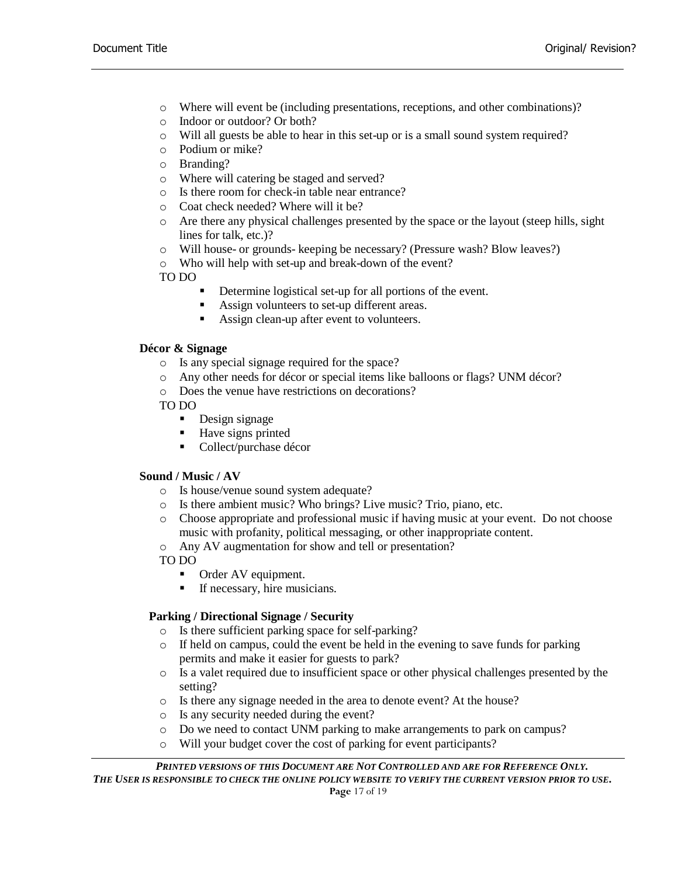- o Where will event be (including presentations, receptions, and other combinations)?
- o Indoor or outdoor? Or both?
- o Will all guests be able to hear in this set-up or is a small sound system required?
- o Podium or mike?
- o Branding?
- o Where will catering be staged and served?
- o Is there room for check-in table near entrance?
- o Coat check needed? Where will it be?
- o Are there any physical challenges presented by the space or the layout (steep hills, sight lines for talk, etc.)?
- o Will house- or grounds- keeping be necessary? (Pressure wash? Blow leaves?)
- o Who will help with set-up and break-down of the event?

TO DO

- Determine logistical set-up for all portions of the event.
- Assign volunteers to set-up different areas.
- Assign clean-up after event to volunteers.

#### **Décor & Signage**

- o Is any special signage required for the space?
- o Any other needs for décor or special items like balloons or flags? UNM décor?
- o Does the venue have restrictions on decorations?

TO DO

- Design signage
- Have signs printed
- Collect/purchase décor

#### **Sound / Music / AV**

- o Is house/venue sound system adequate?
- o Is there ambient music? Who brings? Live music? Trio, piano, etc.
- o Choose appropriate and professional music if having music at your event. Do not choose music with profanity, political messaging, or other inappropriate content.
- o Any AV augmentation for show and tell or presentation?
- TO DO
	- Order AV equipment.
	- **If necessary, hire musicians.**

## **Parking / Directional Signage / Security**

- o Is there sufficient parking space for self-parking?
- $\circ$  If held on campus, could the event be held in the evening to save funds for parking permits and make it easier for guests to park?
- o Is a valet required due to insufficient space or other physical challenges presented by the setting?
- o Is there any signage needed in the area to denote event? At the house?
- o Is any security needed during the event?
- o Do we need to contact UNM parking to make arrangements to park on campus?
- o Will your budget cover the cost of parking for event participants?

*PRINTED VERSIONS OF THIS DOCUMENT ARE NOT CONTROLLED AND ARE FOR REFERENCE ONLY. THE USER IS RESPONSIBLE TO CHECK THE ONLINE POLICY WEBSITE TO VERIFY THE CURRENT VERSION PRIOR TO USE.* **Page** 17 of 19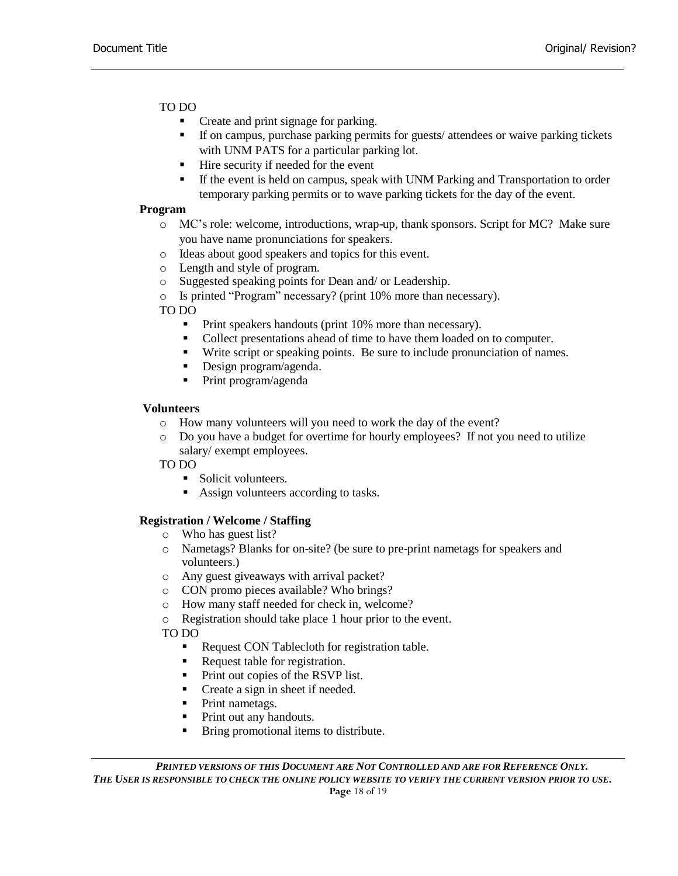## TO DO

- Create and print signage for parking.
- If on campus, purchase parking permits for guests/ attendees or waive parking tickets with UNM PATS for a particular parking lot.
- Hire security if needed for the event
- If the event is held on campus, speak with UNM Parking and Transportation to order temporary parking permits or to wave parking tickets for the day of the event.

#### **Program**

- o MC's role: welcome, introductions, wrap-up, thank sponsors. Script for MC? Make sure you have name pronunciations for speakers.
- o Ideas about good speakers and topics for this event.
- o Length and style of program.
- o Suggested speaking points for Dean and/ or Leadership.
- o Is printed "Program" necessary? (print 10% more than necessary).

TO DO

- Print speakers handouts (print 10% more than necessary).
- Collect presentations ahead of time to have them loaded on to computer.
- Write script or speaking points. Be sure to include pronunciation of names.
- Design program/agenda.
- Print program/agenda

#### **Volunteers**

- o How many volunteers will you need to work the day of the event?
- o Do you have a budget for overtime for hourly employees? If not you need to utilize salary/ exempt employees.

TO DO

- Solicit volunteers.
- Assign volunteers according to tasks.

## **Registration / Welcome / Staffing**

- o Who has guest list?
- o Nametags? Blanks for on-site? (be sure to pre-print nametags for speakers and volunteers.)
- o Any guest giveaways with arrival packet?
- o CON promo pieces available? Who brings?
- o How many staff needed for check in, welcome?
- o Registration should take place 1 hour prior to the event.

TO DO

- Request CON Tablecloth for registration table.
- Request table for registration.
- Print out copies of the RSVP list.
- Create a sign in sheet if needed.
- **•** Print nametags.
- Print out any handouts.
- Bring promotional items to distribute.